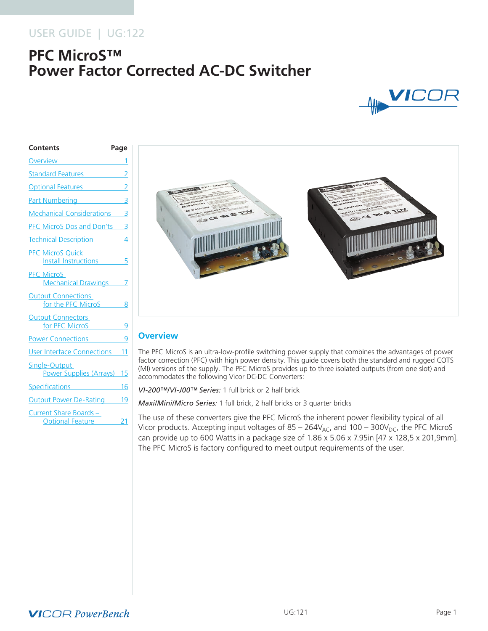# USER GUIDE | UG:122

# **PFC MicroS™ Power Factor Corrected AC-DC Switcher**



# **Contents Page Overview** [Standard Features](#page-1-0) 2 **Optional Features** [Part Numbering](#page-2-0) 3 [Mechanical Considerations](#page-2-0) 3 [PFC MicroS Dos and Don'ts](#page-2-0) 3 [Technical Description](#page-3-0) 4 [PFC MicroS Quick](#page-4-0)  [Install Instructions](#page-4-0) 5 [PFC MicroS](#page-6-0)  [Mechanical Drawings](#page-6-0) 7 **Output Connections** [for the PFC MicroS](#page-7-0) 8 [Output Connectors](#page-8-0)  [for PFC MicroS](#page-8-0) 9 [Power Connections](#page-8-0) 9 [User Interface Connections](#page-10-0) 11 [Single-Output](#page-14-0)  [Power Supplies \(Arrays\)](#page-14-0) 15 [Specifications](#page-15-0) 16 [Output Power De-Rating](#page-18-0) 19 [Current Share Boards –](#page-20-0)  [Optional Feature](#page-20-0) 21



### **Overview**

The PFC MicroS is an ultra-low-profile switching power supply that combines the advantages of power factor correction (PFC) with high power density. This guide covers both the standard and rugged COTS (MI) versions of the supply. The PFC MicroS provides up to three isolated outputs (from one slot) and accommodates the following Vicor DC-DC Converters:

*VI-200™/VI-J00™ Series:* 1 full brick or 2 half brick

*Maxi/Mini/Micro Series:* 1 full brick, 2 half bricks or 3 quarter bricks

The use of these converters give the PFC MicroS the inherent power flexibility typical of all Vicor products. Accepting input voltages of  $85 - 264V_{AC}$ , and  $100 - 300V_{DC}$ , the PFC MicroS can provide up to 600 Watts in a package size of 1.86 x 5.06 x 7.95in [47 x 128,5 x 201,9mm]. The PFC MicroS is factory configured to meet output requirements of the user.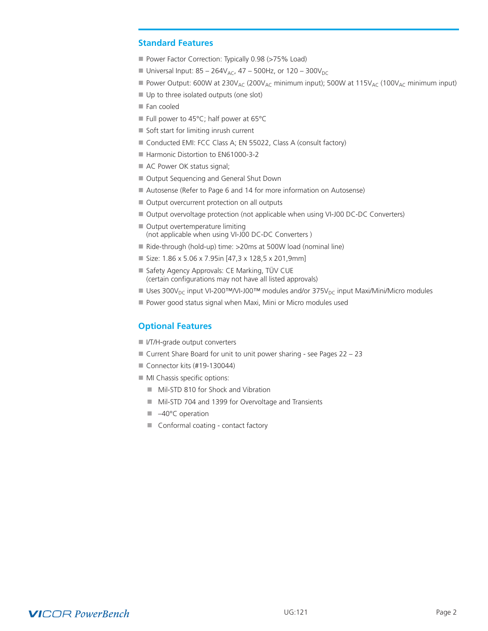### <span id="page-1-0"></span>**Standard Features**

- Power Factor Correction: Typically 0.98 (>75% Load)
- Universal Input:  $85 264V_{AC}$ ,  $47 500Hz$ , or  $120 300V_{DC}$
- Power Output: 600W at  $230V_{AC}$  (200 $V_{AC}$  minimum input); 500W at  $115V_{AC}$  (100 $V_{AC}$  minimum input)
- Up to three isolated outputs (one slot)
- $\blacksquare$  Fan cooled
- Full power to 45°C; half power at 65°C
- $\blacksquare$  Soft start for limiting inrush current
- Conducted EMI: FCC Class A; EN 55022, Class A (consult factory)
- Harmonic Distortion to EN61000-3-2
- AC Power OK status signal;
- Output Sequencing and General Shut Down
- Autosense (Refer to Page 6 and 14 for more information on Autosense)
- Output overcurrent protection on all outputs
- Output overvoltage protection (not applicable when using VI-J00 DC-DC Converters)
- $\blacksquare$  Output overtemperature limiting (not applicable when using VI-J00 DC-DC Converters )
- Ride-through (hold-up) time: >20ms at 500W load (nominal line)
- $\blacksquare$  Size: 1.86 x 5.06 x 7.95in [47,3 x 128,5 x 201,9mm]
- Safety Agency Approvals: CE Marking, TÜV CUE (certain configurations may not have all listed approvals)
- Uses 300V<sub>DC</sub> input VI-200™/VI-J00™ modules and/or 375V<sub>DC</sub> input Maxi/Mini/Micro modules
- Power good status signal when Maxi, Mini or Micro modules used

### **Optional Features**

- I I/T/H-grade output converters
- $\blacksquare$  Current Share Board for unit to unit power sharing see Pages 22 23
- $\blacksquare$  Connector kits (#19-130044)
- $\blacksquare$  MI Chassis specific options:
	- Mil-STD 810 for Shock and Vibration
	- Mil-STD 704 and 1399 for Overvoltage and Transients
	- $\blacksquare$  –40°C operation
	- $\blacksquare$  Conformal coating contact factory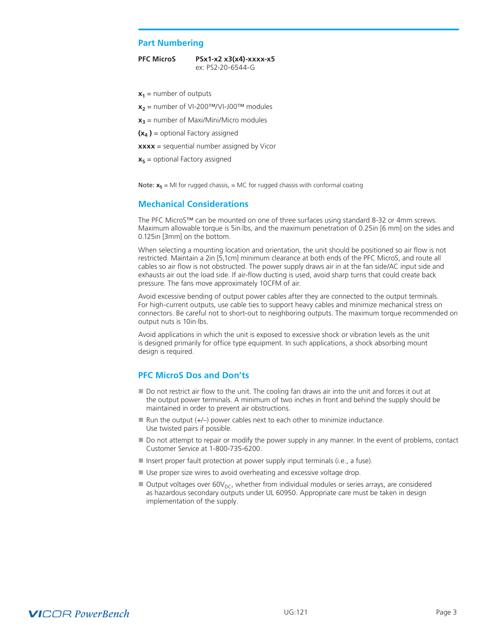#### <span id="page-2-0"></span>**Part Numbering**

**PFC MicroS PSx1-x2 x3(x4)-xxxx-x5** ex: PS2-20-6544-G

 $x_1$  = number of outputs

- $x_2$  = number of VI-200<sup>TM</sup>/VI-J00<sup>TM</sup> modules
- $x_3$  = number of Maxi/Mini/Micro modules
- **(x4 )** = optional Factory assigned
- **xxxx** = sequential number assigned by Vicor
- $x<sub>5</sub>$  = optional Factory assigned

Note:  $x_5$  = MI for rugged chassis, = MC for rugged chassis with conformal coating

### **Mechanical Considerations**

The PFC MicroS™ can be mounted on one of three surfaces using standard 8-32 or 4mm screws. Maximum allowable torque is 5in.lbs, and the maximum penetration of 0.25in [6 mm] on the sides and 0.125in [3mm] on the bottom.

When selecting a mounting location and orientation, the unit should be positioned so air flow is not restricted. Maintain a 2in [5,1cm] minimum clearance at both ends of the PFC MicroS, and route all cables so air flow is not obstructed. The power supply draws air in at the fan side/AC input side and exhausts air out the load side. If air-flow ducting is used, avoid sharp turns that could create back pressure. The fans move approximately 10CFM of air.

Avoid excessive bending of output power cables after they are connected to the output terminals. For high-current outputs, use cable ties to support heavy cables and minimize mechanical stress on connectors. Be careful not to short-out to neighboring outputs. The maximum torque recommended on output nuts is 10in.lbs.

Avoid applications in which the unit is exposed to excessive shock or vibration levels as the unit is designed primarily for office type equipment. In such applications, a shock absorbing mount design is required.

### **PFC MicroS Dos and Don'ts**

- Do not restrict air flow to the unit. The cooling fan draws air into the unit and forces it out at the output power terminals. A minimum of two inches in front and behind the supply should be maintained in order to prevent air obstructions.
- $\blacksquare$  Run the output (+/-) power cables next to each other to minimize inductance. Use twisted pairs if possible.
- Do not attempt to repair or modify the power supply in any manner. In the event of problems, contact Customer Service at 1-800-735-6200.
- Insert proper fault protection at power supply input terminals (i.e., a fuse).
- Use proper size wires to avoid overheating and excessive voltage drop.
- $\blacksquare$  Output voltages over 60V<sub>DC</sub>, whether from individual modules or series arrays, are considered as hazardous secondary outputs under UL 60950. Appropriate care must be taken in design implementation of the supply.

# **VICOR PowerBench**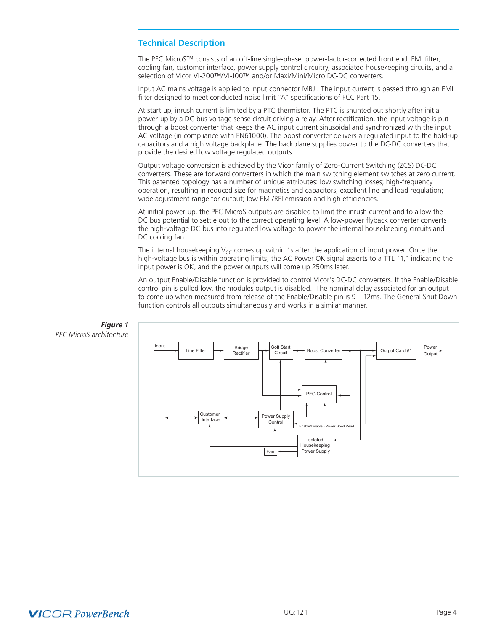### <span id="page-3-0"></span>**Technical Description**

The PFC MicroS™ consists of an off-line single-phase, power-factor-corrected front end, EMI filter, cooling fan, customer interface, power supply control circuitry, associated housekeeping circuits, and a selection of Vicor VI-200™/VI-J00™ and/or Maxi/Mini/Micro DC-DC converters.

Input AC mains voltage is applied to input connector MBJI. The input current is passed through an EMI filter designed to meet conducted noise limit "A" specifications of FCC Part 15.

At start up, inrush current is limited by a PTC thermistor. The PTC is shunted out shortly after initial power-up by a DC bus voltage sense circuit driving a relay. After rectification, the input voltage is put through a boost converter that keeps the AC input current sinusoidal and synchronized with the input AC voltage (in compliance with EN61000). The boost converter delivers a regulated input to the hold-up capacitors and a high voltage backplane. The backplane supplies power to the DC-DC converters that provide the desired low voltage regulated outputs.

Output voltage conversion is achieved by the Vicor family of Zero-Current Switching (ZCS) DC-DC converters. These are forward converters in which the main switching element switches at zero current. This patented topology has a number of unique attributes: low switching losses; high-frequency operation, resulting in reduced size for magnetics and capacitors; excellent line and load regulation; wide adjustment range for output; low EMI/RFI emission and high efficiencies.

At initial power-up, the PFC MicroS outputs are disabled to limit the inrush current and to allow the DC bus potential to settle out to the correct operating level. A low-power flyback converter converts the high-voltage DC bus into regulated low voltage to power the internal housekeeping circuits and DC cooling fan.

The internal housekeeping  $V_{CC}$  comes up within 1s after the application of input power. Once the high-voltage bus is within operating limits, the AC Power OK signal asserts to a TTL "1," indicating the input power is OK, and the power outputs will come up 250ms later.

An output Enable/Disable function is provided to control Vicor's DC-DC converters. If the Enable/Disable control pin is pulled low, the modules output is disabled. The nominal delay associated for an output to come up when measured from release of the Enable/Disable pin is 9 – 12ms. The General Shut Down function controls all outputs simultaneously and works in a similar manner.



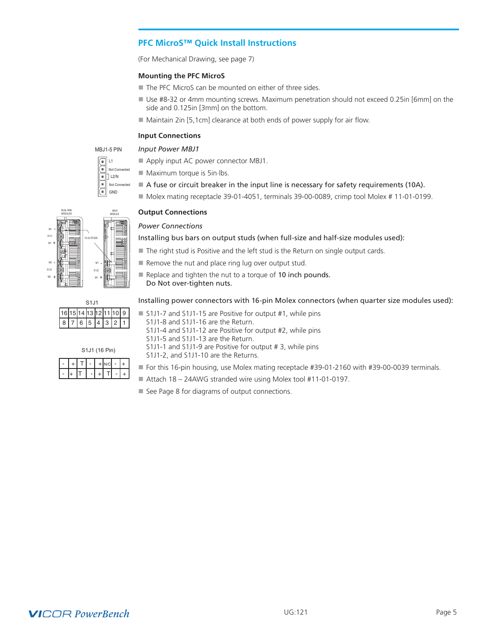### <span id="page-4-0"></span>**PFC MicroS™ Quick Install Instructions**

(For Mechanical Drawing, see page 7)

#### **Mounting the PFC MicroS**

- The PFC MicroS can be mounted on either of three sides.
- Use #8-32 or 4mm mounting screws. Maximum penetration should not exceed 0.25in [6mm] on the side and 0.125in [3mm] on the bottom.
- $\blacksquare$  Maintain 2in [5,1cm] clearance at both ends of power supply for air flow.

### **Input Connections**



### *Input Power MBJ1*

- Apply input AC power connector MBJ1.  $\blacksquare$  Maximum torque is 5in $\blacksquare$ lbs.
	- A fuse or circuit breaker in the input line is necessary for safety requirements (10A).
- Molex mating receptacle 39-01-4051, terminals 39-00-0089, crimp tool Molex # 11-01-0199.

#### **Output Connections**

#### *Power Connections*

Installing bus bars on output studs (when full-size and half-size modules used):

- $\blacksquare$  The right stud is Positive and the left stud is the Return on single output cards.
- $\blacksquare$  Remove the nut and place ring lug over output stud.
- Replace and tighten the nut to a torque of 10 inch pounds. Do Not over-tighten nuts.

#### Installing power connectors with 16-pin Molex connectors (when quarter size modules used):

| . |  |                                           |  |  |  |  |                                                           |
|---|--|-------------------------------------------|--|--|--|--|-----------------------------------------------------------|
|   |  | 16 15 14 13 12 11 10 9<br>8 7 6 5 4 3 2 1 |  |  |  |  | S1J1-7 and S1J1-15 are Positive for output #1, while pins |
|   |  |                                           |  |  |  |  | S1J1-8 and S1J1-16 are the Return.                        |

- 8 and S1J1-16 are the Return. S1J1-4 and S1J1-12 are Positive for output #2, while pins
- S1J1-5 and S1J1-13 are the Return.
- | |+ |T | -| +| T| -| +  $|-|+|+|$  -  $|+|$   $\sim$   $\sim$   $|+|$ S1J1 (16 Pin)

M1 S1J2

C<sub>1</sub> 14

+

- S1J1-1 and S1J1-9 are Positive for output # 3, while pins
- S1J1-2, and S1J1-10 are the Returns.
- For this 16-pin housing, use Molex mating receptacle #39-01-2160 with #39-00-0039 terminals.
- Attach 18 24AWG stranded wire using Molex tool #11-01-0197.
	- See Page 8 for diagrams of output connections.



M2

+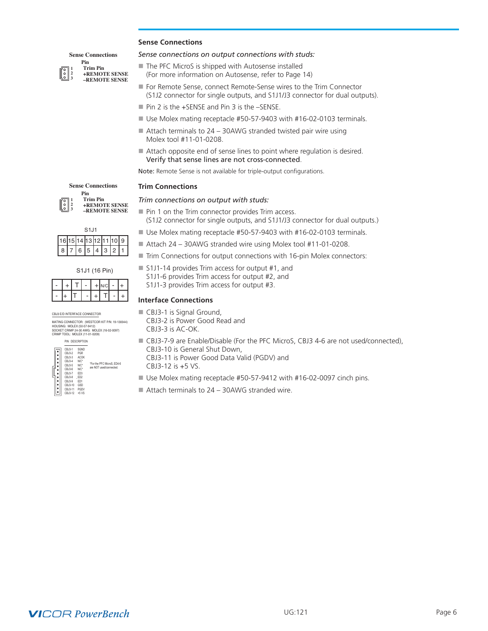#### **Sense Connections**

#### **1 2 Sense Connections Trim Pin Pin**

- **3**
- **+REMOTE SENSE –REMOTE SENSE**
- The PFC MicroS is shipped with Autosense installed
	- (For more information on Autosense, refer to Page 14)

*Sense connections on output connections with studs:*

- For Remote Sense, connect Remote-Sense wires to the Trim Connector (S1J2 connector for single outputs, and S1J1/J3 connector for dual outputs).
- $\blacksquare$  Pin 2 is the +SENSE and Pin 3 is the -SENSE.
- Use Molex mating receptacle #50-57-9403 with #16-02-0103 terminals.
- $\blacksquare$  Attach terminals to 24 30AWG stranded twisted pair wire using Molex tool #11-01-0208.
- $\blacksquare$  Attach opposite end of sense lines to point where regulation is desired. Verify that sense lines are not cross-connected.

Note: Remote Sense is not available for triple-output configurations.

#### **Trim Connections**

#### *Trim connections on output with studs:*

- $\blacksquare$  Pin 1 on the Trim connector provides Trim access.
	- (S1J2 connector for single outputs, and S1J1/J3 connector for dual outputs.)
	- Use Molex mating receptacle #50-57-9403 with #16-02-0103 terminals.
	- Attach 24 30AWG stranded wire using Molex tool #11-01-0208.
	- $\blacksquare$  Trim Connections for output connections with 16-pin Molex connectors:
	- $\blacksquare$  S1J1-14 provides Trim access for output #1, and
		- S1J1-6 provides Trim access for output #2, and
		- S1J1-3 provides Trim access for output #3.

#### **Interface Connections**

- $\blacksquare$  CBJ3-1 is Signal Ground,
	- CBJ3-2 is Power Good Read and CBJ3-3 is AC-OK.
- 
- CBJ3-7-9 are Enable/Disable (For the PFC MicroS, CBJ3 4-6 are not used/connected),
	- CBJ3-10 is General Shut Down, CBJ3-11 is Power Good Data Valid (PGDV) and
- CBJ3-12 is +5 VS.
- $\blacksquare$  Use Molex mating receptacle #50-57-9412 with #16-02-0097 cinch pins.
- $\blacksquare$  Attach terminals to 24 30AWG stranded wire.

**1 2 3 Sense Connections Trim Pin +REMOTE SENSE –REMOTE SENSE Pin**

|  |                        | S <sub>1</sub> .11 |   |   |                |  |
|--|------------------------|--------------------|---|---|----------------|--|
|  | 16 15 14 13 12 11 10 9 |                    |   |   |                |  |
|  | 6 5                    |                    | 4 | 3 | $\overline{2}$ |  |

| CBJ3 E/D INTERFACE CONNECTOR |  |
|------------------------------|--|

MATING CONNECTOR: (WESTCOR KIT P/N: 19-130044) HOUSING: MOLEX (50-57-9412) SOCKET CRIMP 24-30 AWG: MOLEX (16-02-0097) CRIMP TOOL: MOLEX (11-01-0209)

| - |+ |T | -| +| T| -| +  $|-|+|+|$  -  $|+|$  N/C  $-|+|$ 

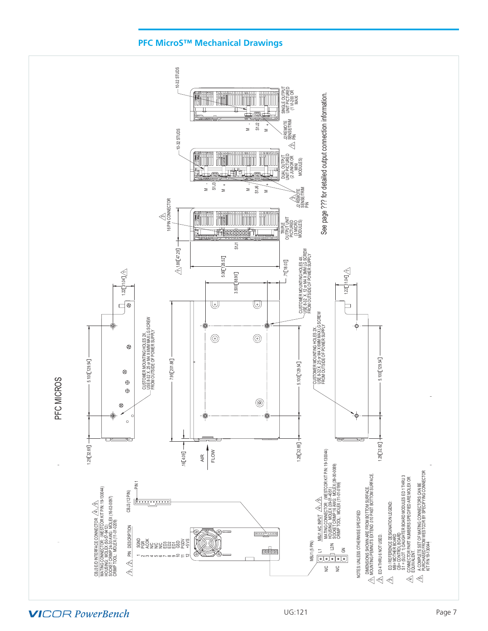

<span id="page-6-0"></span>

**VICOR PowerBench**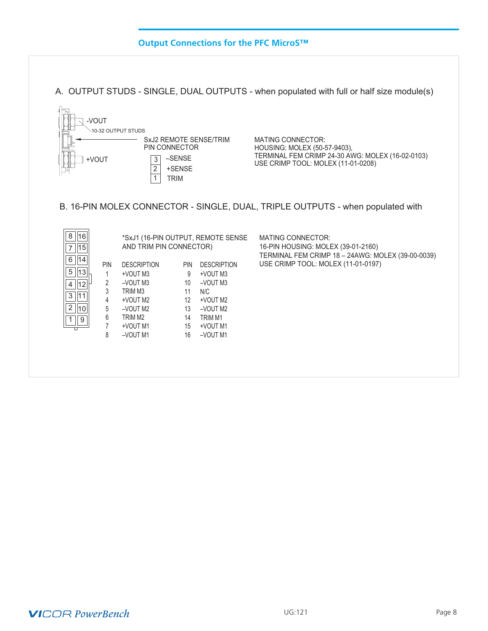## **Output Connections for the PFC MicroS™**

<span id="page-7-0"></span>A. OUTPUT STUDS - SINGLE, DUAL OUTPUTS - when populated with full or half size module(s)



B. 16-PIN MOLEX CONNECTOR - SINGLE, DUAL, TRIPLE OUTPUTS - when populated with

 $\mathcal{L}_\text{c}$  and  $\mathcal{L}_\text{c}$  modules modules modules modules modules modules modules modules modules modules modules modules modules modules modules modules modules modules modules modules modules modules modules modul

| 8<br>16<br>15 |                                                               | AND TRIM PIN CONNECTOR) |    | *SxJ1 (16-PIN OUTPUT, REMOTE SENSE | <b>MATING CONNECTOR:</b><br>16-PIN HOUSING: MOLEX (39-01-2160)<br>TERMINAL FEM CRIMP 18 - 24AWG: MOLEX (39-00-0039) |  |  |  |  |
|---------------|---------------------------------------------------------------|-------------------------|----|------------------------------------|---------------------------------------------------------------------------------------------------------------------|--|--|--|--|
| 14<br>6       | <b>PIN</b><br><b>DESCRIPTION</b><br><b>DESCRIPTION</b><br>PIN |                         |    |                                    | USE CRIMP TOOL: MOLEX (11-01-0197)                                                                                  |  |  |  |  |
| 5<br> 13      |                                                               | +VOUT M3                | 9  | +VOUT M3                           |                                                                                                                     |  |  |  |  |
| 12<br>4       | 2                                                             | $-VOUT M3$              | 10 | $-VOUT M3$                         |                                                                                                                     |  |  |  |  |
| 11<br>3       | 3                                                             | TRIM M3                 | 11 | N/C                                |                                                                                                                     |  |  |  |  |
|               | 4                                                             | +VOUT M2                | 12 | +VOUT M2                           |                                                                                                                     |  |  |  |  |
| 2<br>10       | 5                                                             | $-VOUT M2$              | 13 | -VOUT M2                           |                                                                                                                     |  |  |  |  |
| 9             | 6                                                             | TRIM M <sub>2</sub>     | 14 | TRIM M1                            |                                                                                                                     |  |  |  |  |
| П             |                                                               | +VOUT M1                | 15 | +VOUT M1                           |                                                                                                                     |  |  |  |  |
|               | 8                                                             | -VOUT M1                | 16 | -VOUT M1                           |                                                                                                                     |  |  |  |  |
|               |                                                               |                         |    |                                    |                                                                                                                     |  |  |  |  |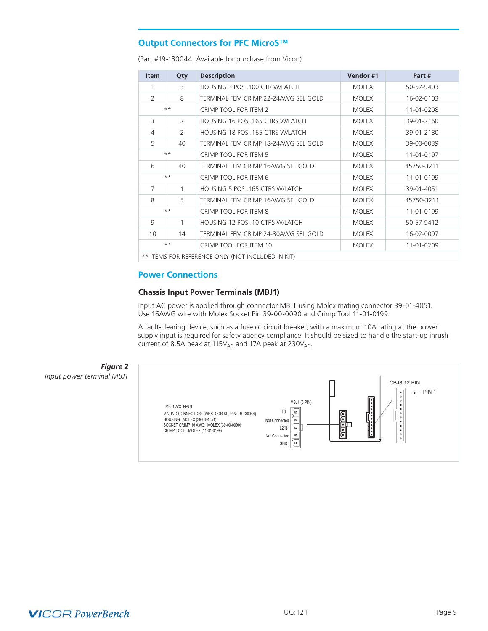### <span id="page-8-0"></span>**Output Connectors for PFC MicroS™**

(Part #19-130044. Available for purchase from Vicor.)

| Qty           | <b>Description</b>                        | Vendor#1     | Part#      |
|---------------|-------------------------------------------|--------------|------------|
| 3             | HOUSING 3 POS .100 CTR W/LATCH            | <b>MOLEX</b> | 50-57-9403 |
| 8             | TERMINAL FEM CRIMP 22-24AWG SEL GOLD      | <b>MOLEX</b> | 16-02-0103 |
|               | CRIMP TOOL FOR ITEM 2                     | <b>MOLEX</b> | 11-01-0208 |
| $\mathcal{P}$ | HOUSING 16 POS .165 CTRS W/LATCH          | <b>MOLEX</b> | 39-01-2160 |
| 2             | HOUSING 18 POS .165 CTRS W/LATCH          | <b>MOLEX</b> | 39-01-2180 |
| 40            | TERMINAL FEM CRIMP 18-24AWG SEL GOLD      | <b>MOLEX</b> | 39-00-0039 |
|               | CRIMP TOOL FOR ITEM 5                     | <b>MOLEX</b> | 11-01-0197 |
| 40            | TERMINAL FEM CRIMP 16AWG SEL GOLD         | <b>MOLEX</b> | 45750-3211 |
|               | CRIMP TOOL FOR ITEM 6                     | <b>MOLEX</b> | 11-01-0199 |
| 1             | HOUSING 5 POS .165 CTRS W/LATCH           | <b>MOLEX</b> | 39-01-4051 |
| 5             | TERMINAL FEM CRIMP 16AWG SEL GOLD         | <b>MOLEX</b> | 45750-3211 |
|               | CRIMP TOOL FOR ITEM 8                     | <b>MOLEX</b> | 11-01-0199 |
| 1             | HOUSING 12 POS .10 CTRS W/LATCH           | <b>MOLEX</b> | 50-57-9412 |
| 14            | TERMINAL FEM CRIMP 24-30AWG SEL GOLD      | <b>MOLEX</b> | 16-02-0097 |
|               | CRIMP TOOL FOR ITEM 10                    | <b>MOLEX</b> | 11-01-0209 |
|               | $***$<br>$***$<br>$***$<br>$***$<br>$***$ |              |            |

ITEMS FOR REFERENCE ONLY (NOT INCLUDED IN KIT)

### **Power Connections**

#### **Chassis Input Power Terminals (MBJ1)**

Input AC power is applied through connector MBJ1 using Molex mating connector 39-01-4051. Use 16AWG wire with Molex Socket Pin 39-00-0090 and Crimp Tool 11-01-0199.

A fault-clearing device, such as a fuse or circuit breaker, with a maximum 10A rating at the power supply input is required for safety agency compliance. It should be sized to handle the start-up inrush current of 8.5A peak at 115 $V_{AC}$  and 17A peak at 230 $V_{AC}$ .



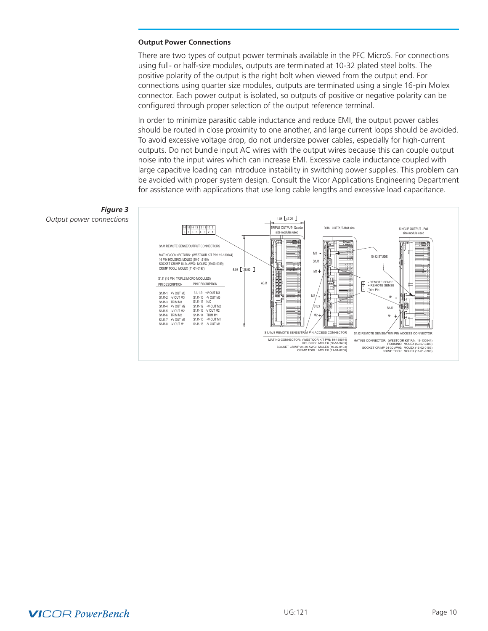#### **Output Power Connections**

There are two types of output power terminals available in the PFC MicroS. For connections using full- or half-size modules, outputs are terminated at 10-32 plated steel bolts. The positive polarity of the output is the right bolt when viewed from the output end. For connections using quarter size modules, outputs are terminated using a single 16-pin Molex connector. Each power output is isolated, so outputs of positive or negative polarity can be configured through proper selection of the output reference terminal.

In order to minimize parasitic cable inductance and reduce EMI, the output power cables should be routed in close proximity to one another, and large current loops should be avoided. To avoid excessive voltage drop, do not undersize power cables, especially for high-current outputs. Do not bundle input AC wires with the output wires because this can couple output noise into the input wires which can increase EMI. Excessive cable inductance coupled with large capacitive loading can introduce instability in switching power supplies. This problem can be avoided with proper system design. Consult the Vicor Applications Engineering Department for assistance with applications that use long cable lengths and excessive load capacitance.



### *Figure 3 Output power connections*

# **VICOR PowerBench**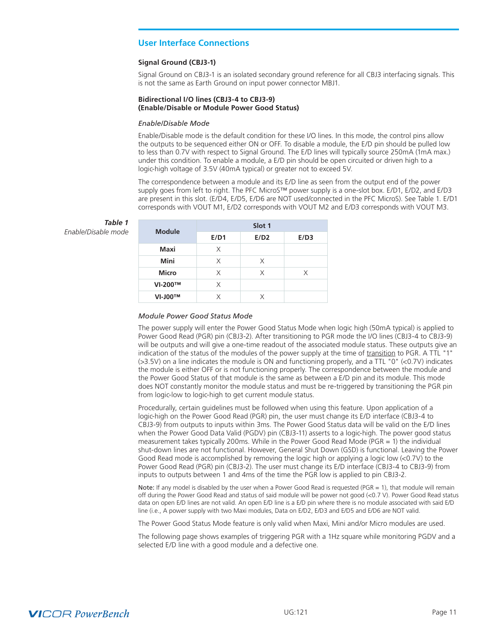### <span id="page-10-0"></span>**User Interface Connections**

#### **Signal Ground (CBJ3-1)**

Signal Ground on CBJ3-1 is an isolated secondary ground reference for all CBJ3 interfacing signals. This is not the same as Earth Ground on input power connector MBJ1.

#### **Bidirectional I/O lines (CBJ3-4 to CBJ3-9) (Enable/Disable or Module Power Good Status)**

#### *Enable/Disable Mode*

Enable/Disable mode is the default condition for these I/O lines. In this mode, the control pins allow the outputs to be sequenced either ON or OFF. To disable a module, the E/D pin should be pulled low to less than 0.7V with respect to Signal Ground. The E/D lines will typically source 250mA (1mA max.) under this condition. To enable a module, a E/D pin should be open circuited or driven high to a logic-high voltage of 3.5V (40mA typical) or greater not to exceed 5V.

The correspondence between a module and its E/D line as seen from the output end of the power supply goes from left to right. The PFC MicroS™ power supply is a one-slot box. E/D1, E/D2, and E/D3 are present in this slot. (E/D4, E/D5, E/D6 are NOT used/connected in the PFC MicroS). See Table 1. E/D1 corresponds with VOUT M1, E/D2 corresponds with VOUT M2 and E/D3 corresponds with VOUT M3.

#### *Table 1*  $E$ *nable/Disable mode*

| <b>Module</b>  | Slot 1 |      |      |  |  |
|----------------|--------|------|------|--|--|
|                | E/D1   | E/D2 | E/D3 |  |  |
| Maxi           | X      |      |      |  |  |
| Mini           | Χ      | X    |      |  |  |
| <b>Micro</b>   | X      | X    | X    |  |  |
| VI-200™        | X      |      |      |  |  |
| <b>VI-J00™</b> | Χ      | Χ    |      |  |  |

#### *Module Power Good Status Mode*

The power supply will enter the Power Good Status Mode when logic high (50mA typical) is applied to Power Good Read (PGR) pin (CBJ3-2). After transitioning to PGR mode the I/O lines (CBJ3-4 to CBJ3-9) will be outputs and will give a one-time readout of the associated module status. These outputs give an indication of the status of the modules of the power supply at the time of transition to PGR. A TTL "1" (>3.5V) on a line indicates the module is ON and functioning properly, and a TTL "0" (<0.7V) indicates the module is either OFF or is not functioning properly. The correspondence between the module and the Power Good Status of that module is the same as between a E/D pin and its module. This mode does NOT constantly monitor the module status and must be re-triggered by transitioning the PGR pin from logic-low to logic-high to get current module status.

Procedurally, certain guidelines must be followed when using this feature. Upon application of a logic-high on the Power Good Read (PGR) pin, the user must change its E/D interface (CBJ3-4 to CBJ3-9) from outputs to inputs within 3ms. The Power Good Status data will be valid on the E/D lines when the Power Good Data Valid (PGDV) pin (CBJ3-11) asserts to a logic-high. The power good status measurement takes typically 200ms. While in the Power Good Read Mode (PGR = 1) the individual shut-down lines are not functional. However, General Shut Down (GSD) is functional. Leaving the Power Good Read mode is accomplished by removing the logic high or applying a logic low (<0.7V) to the Power Good Read (PGR) pin (CBJ3-2). The user must change its E/D interface (CBJ3-4 to CBJ3-9) from inputs to outputs between 1 and 4ms of the time the PGR low is applied to pin CBJ3-2.

Note: If any model is disabled by the user when a Power Good Read is requested (PGR = 1), that module will remain off during the Power Good Read and status of said module will be power not good (<0.7 V). Power Good Read status data on open E/D lines are not valid. An open E/D line is a E/D pin where there is no module associated with said E/D line (i.e., A power supply with two Maxi modules, Data on E/D2, E/D3 and E/D5 and E/D6 are NOT valid.

The Power Good Status Mode feature is only valid when Maxi, Mini and/or Micro modules are used.

The following page shows examples of triggering PGR with a 1Hz square while monitoring PGDV and a selected E/D line with a good module and a defective one.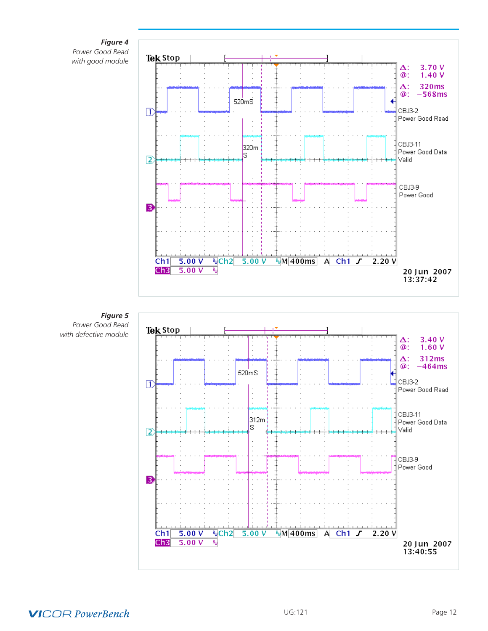

*Power Good Read with good module*



*Figure 5 Power Good Read with defective module*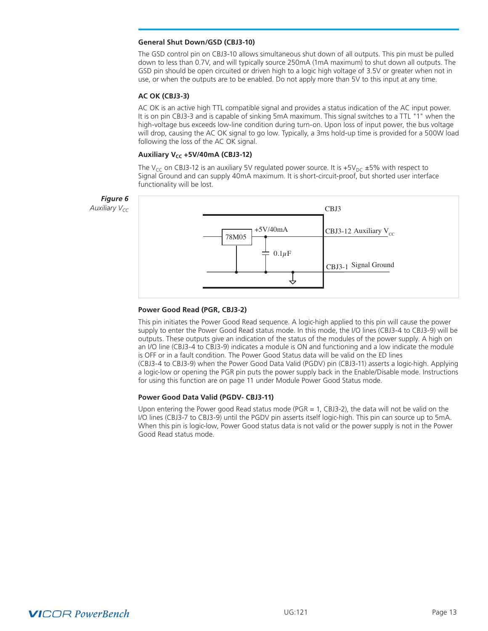#### **General Shut Down/GSD (CBJ3-10)**

The GSD control pin on CBJ3-10 allows simultaneous shut down of all outputs. This pin must be pulled down to less than 0.7V, and will typically source 250mA (1mA maximum) to shut down all outputs. The GSD pin should be open circuited or driven high to a logic high voltage of 3.5V or greater when not in use, or when the outputs are to be enabled. Do not apply more than 5V to this input at any time.

#### **AC OK (CBJ3-3)**

AC OK is an active high TTL compatible signal and provides a status indication of the AC input power. It is on pin CBJ3-3 and is capable of sinking 5mA maximum. This signal switches to a TTL "1" when the high-voltage bus exceeds low-line condition during turn-on. Upon loss of input power, the bus voltage will drop, causing the AC OK signal to go low. Typically, a 3ms hold-up time is provided for a 500W load following the loss of the AC OK signal.

#### **Auxiliary V<sub>CC</sub> +5V/40mA (CBJ3-12)**

The V<sub>CC</sub> on CBJ3-12 is an auxiliary 5V regulated power source. It is +5V<sub>DC</sub> ±5% with respect to Signal Ground and can supply 40mA maximum. It is short-circuit-proof, but shorted user interface functionality will be lost.



#### **Power Good Read (PGR, CBJ3-2)**

This pin initiates the Power Good Read sequence. A logic-high applied to this pin will cause the power supply to enter the Power Good Read status mode. In this mode, the I/O lines (CBJ3-4 to CBJ3-9) will be outputs. These outputs give an indication of the status of the modules of the power supply. A high on an I/O line (CBJ3-4 to CBJ3-9) indicates a module is ON and functioning and a low indicate the module is OFF or in a fault condition. The Power Good Status data will be valid on the ED lines (CBJ3-4 to CBJ3-9) when the Power Good Data Valid (PGDV) pin (CBJ3-11) asserts a logic-high. Applying a logic-low or opening the PGR pin puts the power supply back in the Enable/Disable mode. Instructions for using this function are on page 11 under Module Power Good Status mode.

#### **Power Good Data Valid (PGDV- CBJ3-11)**

Upon entering the Power good Read status mode ( $PGR = 1$ ,  $CBJ-2$ ), the data will not be valid on the I/O lines (CBJ3-7 to CBJ3-9) until the PGDV pin asserts itself logic-high. This pin can source up to 5mA. When this pin is logic-low, Power Good status data is not valid or the power supply is not in the Power Good Read status mode.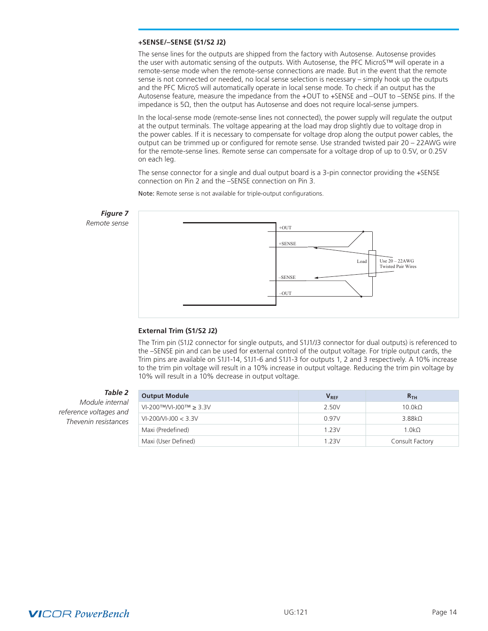#### **+SENSE/–SENSE (S1/S2 J2)**

The sense lines for the outputs are shipped from the factory with Autosense. Autosense provides the user with automatic sensing of the outputs. With Autosense, the PFC MicroS™ will operate in a remote-sense mode when the remote-sense connections are made. But in the event that the remote sense is not connected or needed, no local sense selection is necessary – simply hook up the outputs and the PFC MicroS will automatically operate in local sense mode. To check if an output has the Autosense feature, measure the impedance from the +OUT to +SENSE and –OUT to –SENSE pins. If the impedance is 5Ω, then the output has Autosense and does not require local-sense jumpers.

In the local-sense mode (remote-sense lines not connected), the power supply will regulate the output at the output terminals. The voltage appearing at the load may drop slightly due to voltage drop in the power cables. If it is necessary to compensate for voltage drop along the output power cables, the output can be trimmed up or configured for remote sense. Use stranded twisted pair 20 – 22AWG wire for the remote-sense lines. Remote sense can compensate for a voltage drop of up to 0.5V, or 0.25V on each leg.

The sense connector for a single and dual output board is a 3-pin connector providing the +SENSE connection on Pin 2 and the –SENSE connection on Pin 3.

Note: Remote sense is not available for triple-output configurations.



#### **External Trim (S1/S2 J2)**

The Trim pin (S1J2 connector for single outputs, and S1J1/J3 connector for dual outputs) is referenced to the –SENSE pin and can be used for external control of the output voltage. For triple output cards, the Trim pins are available on S1J1-14, S1J1-6 and S1J1-3 for outputs 1, 2 and 3 respectively. A 10% increase to the trim pin voltage will result in a 10% increase in output voltage. Reducing the trim pin voltage by 10% will result in a 10% decrease in output voltage.

*Table 2*

*Module internal reference voltages and Thevenin resistances*

| <b>Output Module</b>      | $V_{REF}$ | R <sub>TH</sub>    |
|---------------------------|-----------|--------------------|
| $VI-200$ ™/VI-J00™ ≥ 3.3V | 2.50V     | 10.0k <sub>2</sub> |
| $VI-200/VI-100 < 3.3 V$   | 0.97V     | 3.88kQ             |
| Maxi (Predefined)         | 1 2 3 V   | 1.0k <sub>2</sub>  |
| Maxi (User Defined)       | 1 2 3 V   | Consult Factory    |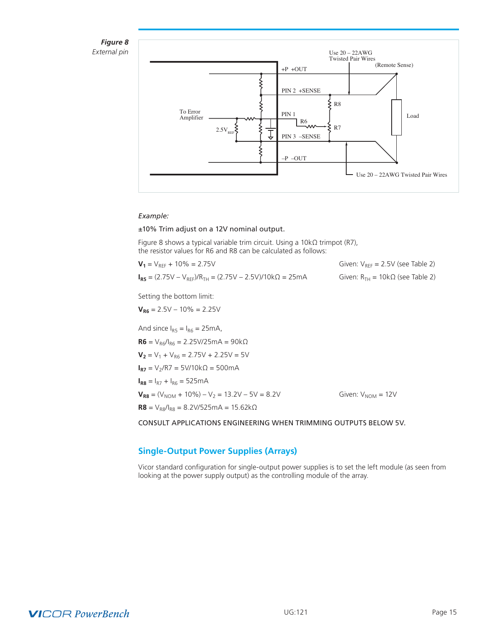<span id="page-14-0"></span>



#### *Example:*

#### ±10% Trim adjust on a 12V nominal output.

Figure 8 shows a typical variable trim circuit. Using a 10kΩ trimpot (R7), the resistor values for R6 and R8 can be calculated as follows:

| $V_1 = V_{RFE} + 10\% = 2.75V$                                        | Given: $V_{RFF}$ = 2.5V (see Table 2)     |
|-----------------------------------------------------------------------|-------------------------------------------|
| $I_{RS} = (2.75V - V_{RFF})/R_{TH} = (2.75V - 2.5V)/10k\Omega = 25mA$ | Given: $R_{TH} = 10k\Omega$ (see Table 2) |

Setting the bottom limit:

 $V_{R6}$  = 2.5V – 10% = 2.25V And since  $I_{R5} = I_{R6} = 25mA$ ,  $$  $V_2$  =  $V_1$  +  $V_{R6}$  = 2.75V + 2.25V = 5V  $I_{R7}$  = V<sub>2</sub>/R7 = 5V/10kΩ = 500mA  $I_{R8} = I_{R7} + I_{R6} = 525mA$  $V_{RB} = (V_{NOM} + 10\%) - V_2 = 13.2V - 5V = 8.2V$  Given:  $V_{NOM} = 12V$  $$ CONSULT APPLICATIONS ENGINEERING WHEN TRIMMING OUTPUTS BELOW 5V.

### **Single-Output Power Supplies (Arrays)**

Vicor standard configuration for single-output power supplies is to set the left module (as seen from looking at the power supply output) as the controlling module of the array.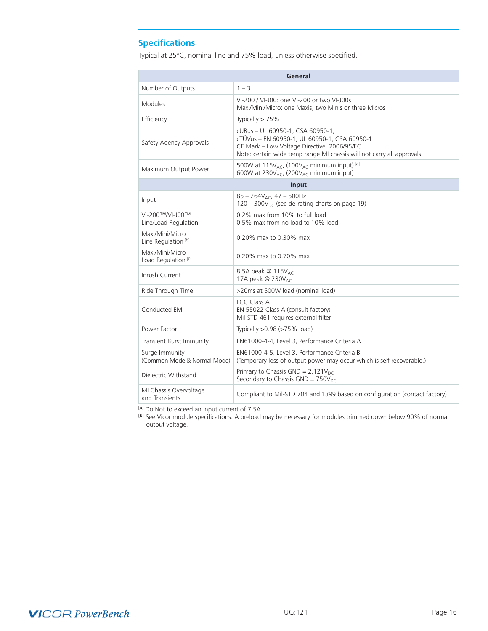# <span id="page-15-0"></span>**Specifications**

Typical at 25°C, nominal line and 75% load, unless otherwise specified.

| General                                           |                                                                                                                                                                                                          |  |  |  |
|---------------------------------------------------|----------------------------------------------------------------------------------------------------------------------------------------------------------------------------------------------------------|--|--|--|
| Number of Outputs                                 | $1 - 3$                                                                                                                                                                                                  |  |  |  |
| <b>Modules</b>                                    | VI-200 / VI-J00: one VI-200 or two VI-J00s<br>Maxi/Mini/Micro: one Maxis, two Minis or three Micros                                                                                                      |  |  |  |
| Efficiency                                        | Typically $> 75%$                                                                                                                                                                                        |  |  |  |
| Safety Agency Approvals                           | cURus - UL 60950-1, CSA 60950-1;<br>cTÜVus - EN 60950-1, UL 60950-1, CSA 60950-1<br>CE Mark - Low Voltage Directive, 2006/95/EC<br>Note: certain wide temp range MI chassis will not carry all approvals |  |  |  |
| Maximum Output Power                              | 500W at 115V <sub>AC</sub> , (100V <sub>AC</sub> minimum input) <sup>[a]</sup><br>600W at 230V <sub>AC</sub> , (200V <sub>AC</sub> minimum input)                                                        |  |  |  |
|                                                   | Input                                                                                                                                                                                                    |  |  |  |
| Input                                             | $85 - 264V_{AC}$ , 47 - 500Hz<br>$120 - 300V_{\text{DC}}$ (see de-rating charts on page 19)                                                                                                              |  |  |  |
| VI-200™/VI-J00™<br>Line/Load Regulation           | 0.2% max from 10% to full load<br>0.5% max from no load to 10% load                                                                                                                                      |  |  |  |
| Maxi/Mini/Micro<br>Line Regulation <sup>[b]</sup> | 0.20% max to 0.30% max                                                                                                                                                                                   |  |  |  |
| Maxi/Mini/Micro<br>Load Regulation <sup>[b]</sup> | 0.20% max to 0.70% max                                                                                                                                                                                   |  |  |  |
| Inrush Current                                    | 8.5A peak @ 115V <sub>AC</sub><br>17A peak @ 230V <sub>AC</sub>                                                                                                                                          |  |  |  |
| Ride Through Time                                 | >20ms at 500W load (nominal load)                                                                                                                                                                        |  |  |  |
| Conducted EMI                                     | FCC Class A<br>EN 55022 Class A (consult factory)<br>Mil-STD 461 requires external filter                                                                                                                |  |  |  |
| Power Factor                                      | Typically $>0.98$ ( $>75\%$ load)                                                                                                                                                                        |  |  |  |
| Transient Burst Immunity                          | EN61000-4-4, Level 3, Performance Criteria A                                                                                                                                                             |  |  |  |
| Surge Immunity<br>(Common Mode & Normal Mode)     | EN61000-4-5, Level 3, Performance Criteria B<br>(Temporary loss of output power may occur which is self recoverable.)                                                                                    |  |  |  |
| Dielectric Withstand                              | Primary to Chassis GND = $2,121V_{DC}$<br>Secondary to Chassis GND = $750V_{DC}$                                                                                                                         |  |  |  |
| MI Chassis Overvoltage<br>and Transients          | Compliant to Mil-STD 704 and 1399 based on configuration (contact factory)                                                                                                                               |  |  |  |

[a] Do Not to exceed an input current of 7.5A.

<sup>[b]</sup> See Vicor module specifications. A preload may be necessary for modules trimmed down below 90% of normal output voltage.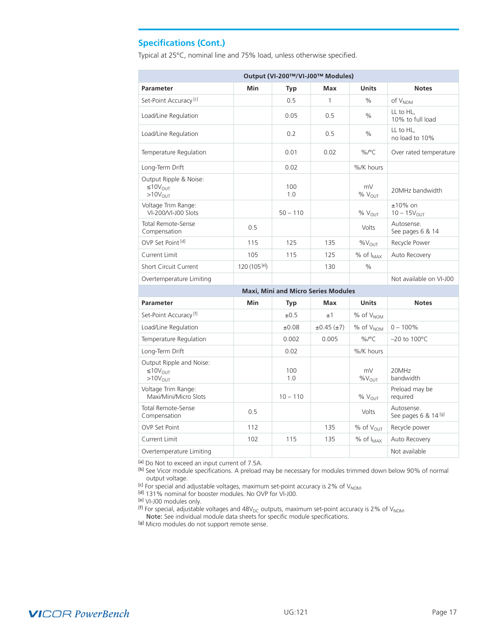# **Specifications (Cont.)**

Typical at 25°C, nominal line and 75% load, unless otherwise specified.

| Output (VI-200™/VI-J00™ Modules)                                     |                   |            |                                     |                          |                                    |
|----------------------------------------------------------------------|-------------------|------------|-------------------------------------|--------------------------|------------------------------------|
| Parameter                                                            | Min               | Typ        | Max                                 | <b>Units</b>             | <b>Notes</b>                       |
| Set-Point Accuracy <sup>[c]</sup>                                    |                   | 0.5        | 1                                   | $\%$                     | of V <sub>NOM</sub>                |
| Load/Line Regulation                                                 |                   | 0.05       | 0.5                                 | $\%$                     | LL to HL,<br>10% to full load      |
| Load/Line Regulation                                                 |                   | 0.2        | 0.5                                 | $\%$                     | LL to HL,<br>no load to 10%        |
| Temperature Regulation                                               |                   | 0.01       | 0.02                                | %/ $^{\circ}$ C          | Over rated temperature             |
| Long-Term Drift                                                      |                   | 0.02       |                                     | %/K hours                |                                    |
| Output Ripple & Noise:<br>$\leq 10V_{\text{OUT}}$<br>$>10V_{OIII}$   |                   | 100<br>1.0 |                                     | mV<br>% $V_{OUT}$        | 20MHz bandwidth                    |
| Voltage Trim Range:<br>VI-200/VI-J00 Slots                           |                   | $50 - 110$ |                                     | $%V_{OIII}$              | $±10\%$ on<br>$10 - 15V_{OUT}$     |
| <b>Total Remote-Sense</b><br>Compensation                            | 0.5               |            |                                     | Volts                    | Autosense.<br>See pages 6 & 14     |
| OVP Set Point [d]                                                    | 115               | 125        | 135                                 | %V <sub>OUT</sub>        | Recycle Power                      |
| Current Limit                                                        | 105               | 115        | 125                                 | % of I <sub>MAX</sub>    | Auto Recovery                      |
| <b>Short Circuit Current</b>                                         | 120 $(105^{[e]})$ |            | 130                                 | $\%$                     |                                    |
| Overtemperature Limiting                                             |                   |            |                                     |                          | Not available on VI-J00            |
|                                                                      |                   |            | Maxi, Mini and Micro Series Modules |                          |                                    |
| <b>Parameter</b>                                                     | <b>Min</b>        | Typ        | Max                                 | <b>Units</b>             | <b>Notes</b>                       |
| Set-Point Accuracy <sup>[f]</sup>                                    |                   | ±0.5       | ±1                                  | % of V <sub>NOM</sub>    |                                    |
| Load/Line Regulation                                                 |                   | ±0.08      | $\pm 0.45$ ( $\pm 7$ )              | $%$ of $V_{NOM}$         | $0 - 100\%$                        |
| Temperature Regulation                                               |                   | 0.002      | 0.005                               | $\%$ /°C                 | $-20$ to $100^{\circ}$ C           |
| Long-Term Drift                                                      |                   | 0.02       |                                     | %/K hours                |                                    |
| Output Ripple and Noise:<br>$\leq 10V_{\text{OUT}}$<br>$>10V_{OIII}$ |                   | 100<br>1.0 |                                     | mV<br>$\%V_{\text{OUT}}$ | 20MHz<br>bandwidth                 |
| Voltage Trim Range:<br>Maxi/Mini/Micro Slots                         |                   | $10 - 110$ |                                     | % $V_{OUT}$              | Preload may be<br>required         |
| <b>Total Remote-Sense</b><br>Compensation                            | 0.5               |            |                                     | Volts                    | Autosense.<br>See pages 6 & 14 [g] |
| <b>OVP Set Point</b>                                                 | 112               |            | 135                                 | $%$ of $V_{OIII}$        | Recycle power                      |
| Current Limit                                                        | 102               | 115        | 135                                 | % of I <sub>MAX</sub>    | Auto Recovery                      |
| Overtemperature Limiting                                             |                   |            |                                     |                          | Not available                      |

<sup>[a]</sup> Do Not to exceed an input current of 7.5A.

<sup>[b]</sup> See Vicor module specifications. A preload may be necessary for modules trimmed down below 90% of normal output voltage.

For special and adjustable voltages, maximum set-point accuracy is 2% of V<sub>NOM</sub>.<br>[d] For special and adjustable voltages, maximum set-point accuracy is 2% of V<sub>NOM</sub>.<br>[d] 131% nominal for booster modules. No OVP for VI-J00

[e] VI-J00 modules only.

<sup>[f]</sup> For special, adjustable voltages and 48V<sub>DC</sub> outputs, maximum set-point accuracy is 2% of V<sub>NOM</sub>.

Note: See individual module data sheets for specific module specifications.

[g] Micro modules do not support remote sense.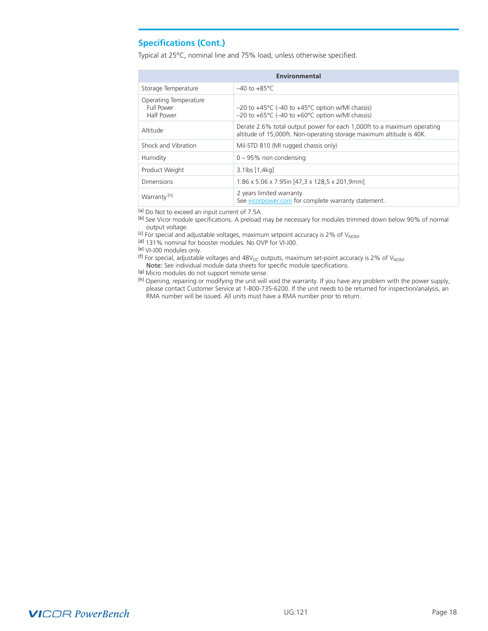### **Specifications (Cont.)**

Typical at 25°C, nominal line and 75% load, unless otherwise specified.

| Environmental                                            |                                                                                                                                                      |  |  |  |
|----------------------------------------------------------|------------------------------------------------------------------------------------------------------------------------------------------------------|--|--|--|
| Storage Temperature                                      | $-40$ to $+85^{\circ}$ C                                                                                                                             |  |  |  |
| Operating Temperature<br><b>Full Power</b><br>Half Power | $-20$ to $+45^{\circ}$ C ( $-40$ to $+45^{\circ}$ C option w/MI chassis)<br>$-20$ to $+65^{\circ}$ C ( $-40$ to $+60^{\circ}$ C option w/MI chassis) |  |  |  |
| Altitude                                                 | Derate 2.6% total output power for each 1,000ft to a maximum operating<br>altitude of 15,000ft. Non-operating storage maximum altitude is 40K.       |  |  |  |
| Shock and Vibration                                      | Mil-STD 810 (MI rugged chassis only)                                                                                                                 |  |  |  |
| Humidity                                                 | $0 - 95%$ non condensing                                                                                                                             |  |  |  |
| Product Weight                                           | $3.1$ lbs $[1,4$ kg]                                                                                                                                 |  |  |  |
| Dimensions                                               | 1.86 x 5.06 x 7.95in [47,3 x 128,5 x 201,9mm]                                                                                                        |  |  |  |
| Warranty <sup>[h]</sup>                                  | 2 years limited warranty.<br>See vicorpower.com for complete warranty statement.                                                                     |  |  |  |

[a] Do Not to exceed an input current of 7.5A

[b] See Vicor module specifications. A preload may be necessary for modules trimmed down below 90% of normal output voltage.

 $^{[c]}$  For special and adjustable voltages, maximum setpoint accuracy is 2% of V<sub>NOM</sub>.  $^{[d]}$  131% nominal for booster modules. No OVP for VI-J00.

[e] VI-J00 modules only.

<sup>[f]</sup> For special, adjustable voltages and 48V<sub>DC</sub> outputs, maximum set-point accuracy is 2% of V<sub>NOM</sub>.

Note: See individual module data sheets for specific module specifications.

[g] Micro modules do not support remote sense.

[h] Opening, repairing or modifying the unit will void the warranty. If you have any problem with the power supply, please contact Customer Service at 1-800-735-6200. If the unit needs to be returned for inspection/analysis, an RMA number will be issued. All units must have a RMA number prior to return.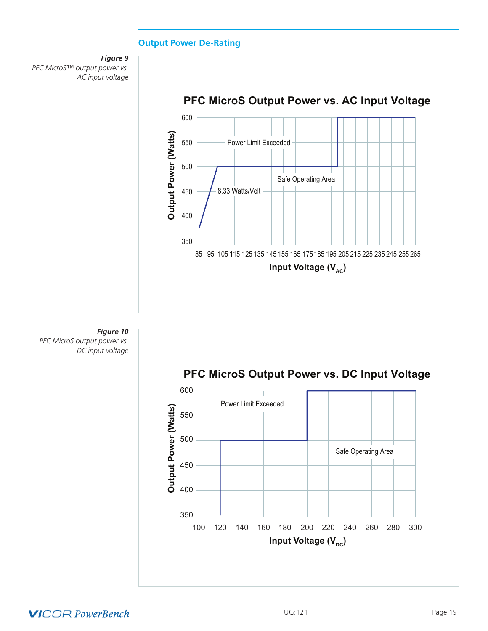### **Output Power De-Rating**

<span id="page-18-0"></span>





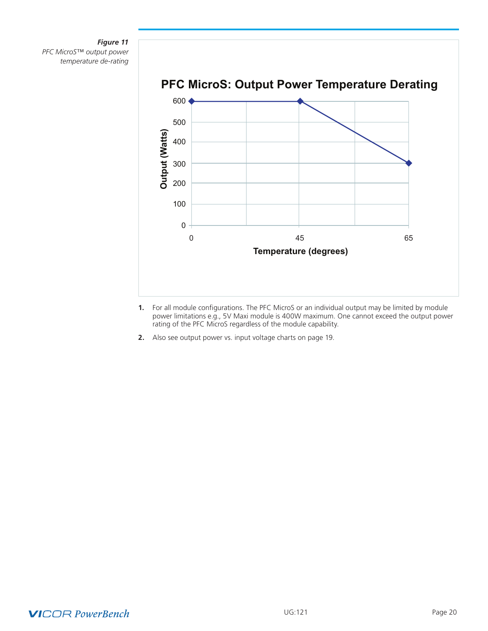### *Figure 11 PFC MicroS*™ *output power temperature de-rating*



- **1.** For all module configurations. The PFC MicroS or an individual output may be limited by module power limitations e.g., 5V Maxi module is 400W maximum. One cannot exceed the output power rating of the PFC MicroS regardless of the module capability.
- **2.** Also see output power vs. input voltage charts on page 19.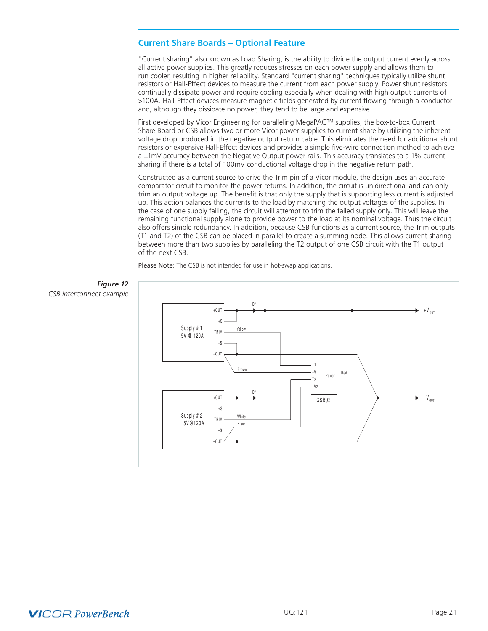### <span id="page-20-0"></span>**Current Share Boards – Optional Feature**

"Current sharing" also known as Load Sharing, is the ability to divide the output current evenly across all active power supplies. This greatly reduces stresses on each power supply and allows them to run cooler, resulting in higher reliability. Standard "current sharing" techniques typically utilize shunt resistors or Hall-Effect devices to measure the current from each power supply. Power shunt resistors continually dissipate power and require cooling especially when dealing with high output currents of >100A. Hall-Effect devices measure magnetic fields generated by current flowing through a conductor and, although they dissipate no power, they tend to be large and expensive.

First developed by Vicor Engineering for paralleling MegaPAC™ supplies, the box-to-box Current Share Board or CSB allows two or more Vicor power supplies to current share by utilizing the inherent voltage drop produced in the negative output return cable. This eliminates the need for additional shunt resistors or expensive Hall-Effect devices and provides a simple five-wire connection method to achieve a ±1mV accuracy between the Negative Output power rails. This accuracy translates to a 1% current sharing if there is a total of 100mV conductional voltage drop in the negative return path.

Constructed as a current source to drive the Trim pin of a Vicor module, the design uses an accurate comparator circuit to monitor the power returns. In addition, the circuit is unidirectional and can only trim an output voltage up. The benefit is that only the supply that is supporting less current is adjusted up. This action balances the currents to the load by matching the output voltages of the supplies. In the case of one supply failing, the circuit will attempt to trim the failed supply only. This will leave the remaining functional supply alone to provide power to the load at its nominal voltage. Thus the circuit also offers simple redundancy. In addition, because CSB functions as a current source, the Trim outputs (T1 and T2) of the CSB can be placed in parallel to create a summing node. This allows current sharing between more than two supplies by paralleling the T2 output of one CSB circuit with the T1 output of the next CSB.

Please Note: The CSB is not intended for use in hot-swap applications.





# **VICOR PowerBench**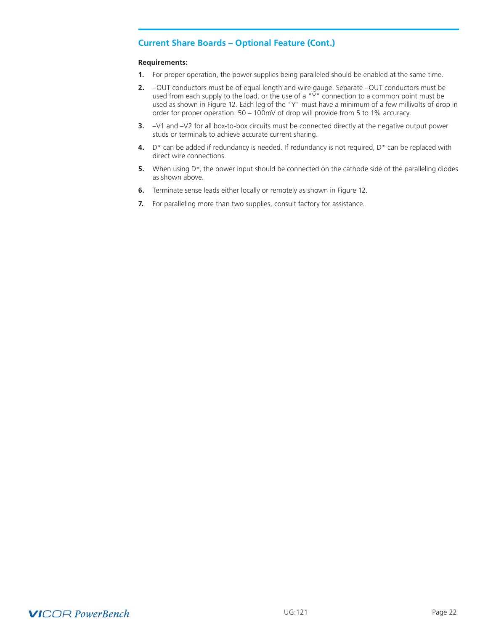### **Current Share Boards – Optional Feature (Cont.)**

#### **Requirements:**

- **1.** For proper operation, the power supplies being paralleled should be enabled at the same time.
- **2.** –OUT conductors must be of equal length and wire gauge. Separate –OUT conductors must be used from each supply to the load, or the use of a "Y" connection to a common point must be used as shown in Figure 12. Each leg of the "Y" must have a minimum of a few millivolts of drop in order for proper operation. 50 – 100mV of drop will provide from 5 to 1% accuracy.
- **3.** –V1 and –V2 for all box-to-box circuits must be connected directly at the negative output power studs or terminals to achieve accurate current sharing.
- **4.** D\* can be added if redundancy is needed. If redundancy is not required, D\* can be replaced with direct wire connections.
- **5.** When using D<sup>\*</sup>, the power input should be connected on the cathode side of the paralleling diodes as shown above.
- **6.** Terminate sense leads either locally or remotely as shown in Figure 12.
- **7.** For paralleling more than two supplies, consult factory for assistance.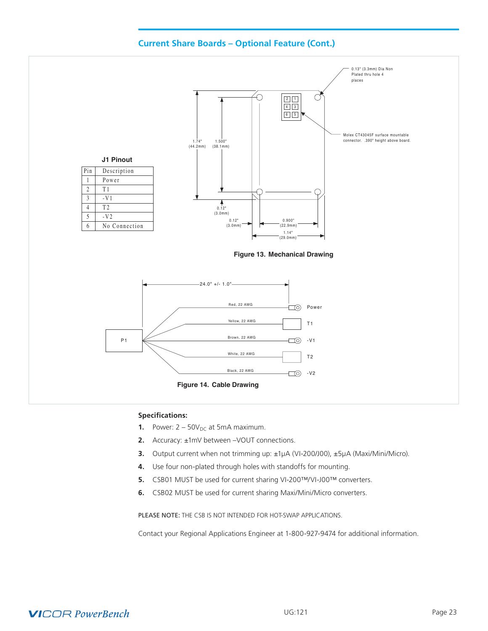



- **1.** Power:  $2 50V_{DC}$  at 5mA maximum.
- **2.** Accuracy: ±1mV between –VOUT connections.
- **3.** Output current when not trimming up: ±1µA (VI-200/J00), ±5µA (Maxi/Mini/Micro).
- **4.** Use four non-plated through holes with standoffs for mounting.
- **5.** CSB01 MUST be used for current sharing VI-200™/VI-J00™ converters.
- **6.** CSB02 MUST be used for current sharing Maxi/Mini/Micro converters.

PLEASE NOTE: THE CSB IS NOT INTENDED FOR HOT-SWAP APPLICATIONS.

Contact your Regional Applications Engineer at 1-800-927-9474 for additional information.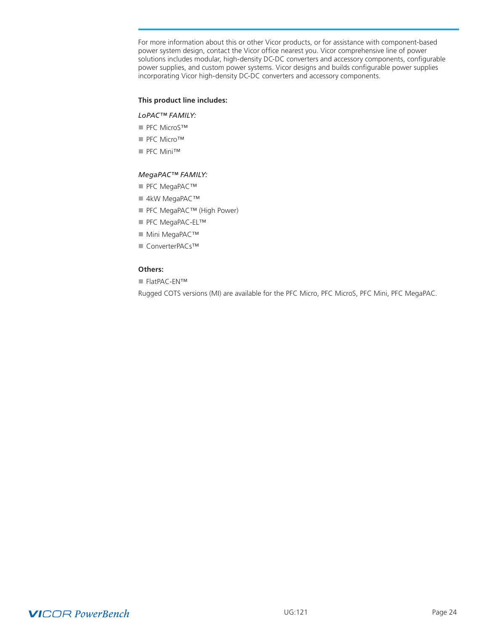For more information about this or other Vicor products, or for assistance with component-based power system design, contact the Vicor office nearest you. Vicor comprehensive line of power solutions includes modular, high-density DC-DC converters and accessory components, configurable power supplies, and custom power systems. Vicor designs and builds configurable power supplies incorporating Vicor high-density DC-DC converters and accessory components.

#### **This product line includes:**

#### *LoPAC™ FAMILY:*

- PFC MicroS™
- PFC Micro™
- PFC Mini™

#### *MegaPAC™ FAMILY:*

- PFC MegaPAC™
- 4kW MegaPAC™
- PFC MegaPAC™ (High Power)
- PFC MegaPAC-EL™
- Mini MegaPAC™
- n ConverterPACs™

### **Others:**

■ FlatPAC-EN™

Rugged COTS versions (MI) are available for the PFC Micro, PFC MicroS, PFC Mini, PFC MegaPAC.